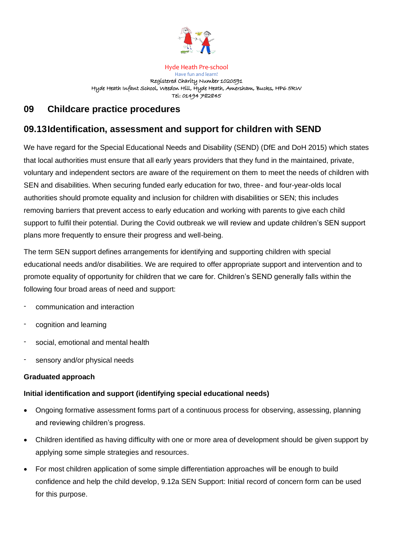

Hyde Heath Pre-school

Have fun and learn! Registered Charity Number 1020591 Hyde Heath Infant School, Weedon Hill, Hyde Heath, Amersham, Bucks, HP6 5RW Tel: 01494 782845

## **09 Childcare practice procedures**

# **09.13Identification, assessment and support for children with SEND**

We have regard for the Special Educational Needs and Disability (SEND) (DfE and DoH 2015) which states that local authorities must ensure that all early years providers that they fund in the maintained, private, voluntary and independent sectors are aware of the requirement on them to meet the needs of children with SEN and disabilities. When securing funded early education for two, three- and four-year-olds local authorities should promote equality and inclusion for children with disabilities or SEN; this includes removing barriers that prevent access to early education and working with parents to give each child support to fulfil their potential. During the Covid outbreak we will review and update children's SEN support plans more frequently to ensure their progress and well-being.

The term SEN support defines arrangements for identifying and supporting children with special educational needs and/or disabilities. We are required to offer appropriate support and intervention and to promote equality of opportunity for children that we care for. Children's SEND generally falls within the following four broad areas of need and support:

- communication and interaction
- cognition and learning
- social, emotional and mental health
- sensory and/or physical needs

## **Graduated approach**

## **Initial identification and support (identifying special educational needs)**

- Ongoing formative assessment forms part of a continuous process for observing, assessing, planning and reviewing children's progress.
- Children identified as having difficulty with one or more area of development should be given support by applying some simple strategies and resources.
- For most children application of some simple differentiation approaches will be enough to build confidence and help the child develop, 9.12a SEN Support: Initial record of concern form can be used for this purpose.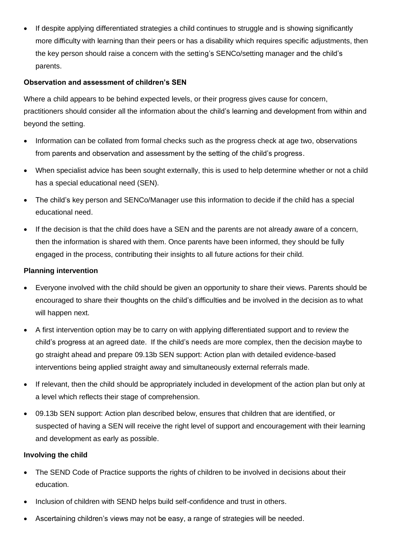If despite applying differentiated strategies a child continues to struggle and is showing significantly more difficulty with learning than their peers or has a disability which requires specific adjustments, then the key person should raise a concern with the setting's SENCo/setting manager and the child's parents.

## **Observation and assessment of children's SEN**

Where a child appears to be behind expected levels, or their progress gives cause for concern, practitioners should consider all the information about the child's learning and development from within and beyond the setting.

- Information can be collated from formal checks such as the progress check at age two, observations from parents and observation and assessment by the setting of the child's progress.
- When specialist advice has been sought externally, this is used to help determine whether or not a child has a special educational need (SEN).
- The child's key person and SENCo/Manager use this information to decide if the child has a special educational need.
- If the decision is that the child does have a SEN and the parents are not already aware of a concern, then the information is shared with them. Once parents have been informed, they should be fully engaged in the process, contributing their insights to all future actions for their child.

## **Planning intervention**

- Everyone involved with the child should be given an opportunity to share their views. Parents should be encouraged to share their thoughts on the child's difficulties and be involved in the decision as to what will happen next.
- A first intervention option may be to carry on with applying differentiated support and to review the child's progress at an agreed date. If the child's needs are more complex, then the decision maybe to go straight ahead and prepare 09.13b SEN support: Action plan with detailed evidence-based interventions being applied straight away and simultaneously external referrals made.
- If relevant, then the child should be appropriately included in development of the action plan but only at a level which reflects their stage of comprehension.
- 09.13b SEN support: Action plan described below, ensures that children that are identified, or suspected of having a SEN will receive the right level of support and encouragement with their learning and development as early as possible.

## **Involving the child**

- The SEND Code of Practice supports the rights of children to be involved in decisions about their education.
- Inclusion of children with SEND helps build self-confidence and trust in others.
- Ascertaining children's views may not be easy, a range of strategies will be needed.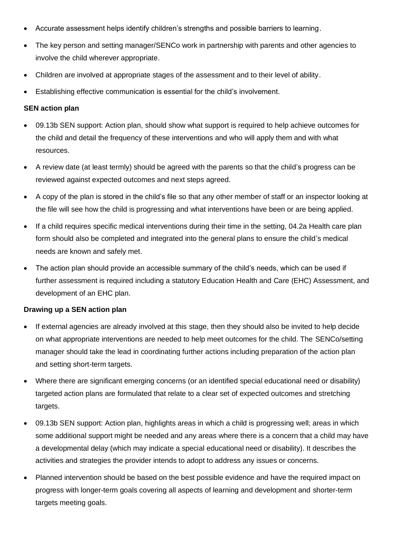- Accurate assessment helps identify children's strengths and possible barriers to learning.
- The key person and setting manager/SENCo work in partnership with parents and other agencies to involve the child wherever appropriate.
- Children are involved at appropriate stages of the assessment and to their level of ability.
- Establishing effective communication is essential for the child's involvement.

#### **SEN action plan**

- 09.13b SEN support: Action plan, should show what support is required to help achieve outcomes for the child and detail the frequency of these interventions and who will apply them and with what resources.
- A review date (at least termly) should be agreed with the parents so that the child's progress can be reviewed against expected outcomes and next steps agreed.
- A copy of the plan is stored in the child's file so that any other member of staff or an inspector looking at the file will see how the child is progressing and what interventions have been or are being applied.
- If a child requires specific medical interventions during their time in the setting, 04.2a Health care plan form should also be completed and integrated into the general plans to ensure the child's medical needs are known and safely met.
- The action plan should provide an accessible summary of the child's needs, which can be used if further assessment is required including a statutory Education Health and Care (EHC) Assessment, and development of an EHC plan.

#### **Drawing up a SEN action plan**

- If external agencies are already involved at this stage, then they should also be invited to help decide on what appropriate interventions are needed to help meet outcomes for the child. The SENCo/setting manager should take the lead in coordinating further actions including preparation of the action plan and setting short-term targets.
- Where there are significant emerging concerns (or an identified special educational need or disability) targeted action plans are formulated that relate to a clear set of expected outcomes and stretching targets.
- 09.13b SEN support: Action plan, highlights areas in which a child is progressing well; areas in which some additional support might be needed and any areas where there is a concern that a child may have a developmental delay (which may indicate a special educational need or disability). It describes the activities and strategies the provider intends to adopt to address any issues or concerns.
- Planned intervention should be based on the best possible evidence and have the required impact on progress with longer-term goals covering all aspects of learning and development and shorter-term targets meeting goals.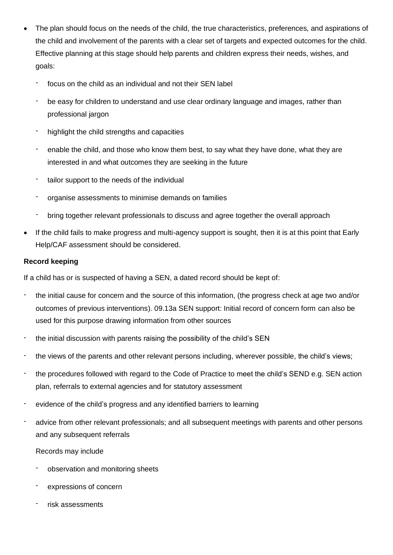- The plan should focus on the needs of the child, the true characteristics, preferences, and aspirations of the child and involvement of the parents with a clear set of targets and expected outcomes for the child. Effective planning at this stage should help parents and children express their needs, wishes, and goals:
	- focus on the child as an individual and not their SEN label
	- be easy for children to understand and use clear ordinary language and images, rather than professional jargon
	- highlight the child strengths and capacities
	- enable the child, and those who know them best, to say what they have done, what they are interested in and what outcomes they are seeking in the future
	- tailor support to the needs of the individual
	- organise assessments to minimise demands on families
	- bring together relevant professionals to discuss and agree together the overall approach
- If the child fails to make progress and multi-agency support is sought, then it is at this point that Early Help/CAF assessment should be considered.

## **Record keeping**

If a child has or is suspected of having a SEN, a dated record should be kept of:

- the initial cause for concern and the source of this information, (the progress check at age two and/or outcomes of previous interventions). 09.13a SEN support: Initial record of concern form can also be used for this purpose drawing information from other sources
- the initial discussion with parents raising the possibility of the child's SEN
- the views of the parents and other relevant persons including, wherever possible, the child's views;
- the procedures followed with regard to the Code of Practice to meet the child's SEND e.g. SEN action plan, referrals to external agencies and for statutory assessment
- evidence of the child's progress and any identified barriers to learning
- advice from other relevant professionals; and all subsequent meetings with parents and other persons and any subsequent referrals

#### Records may include

- observation and monitoring sheets
- expressions of concern
- risk assessments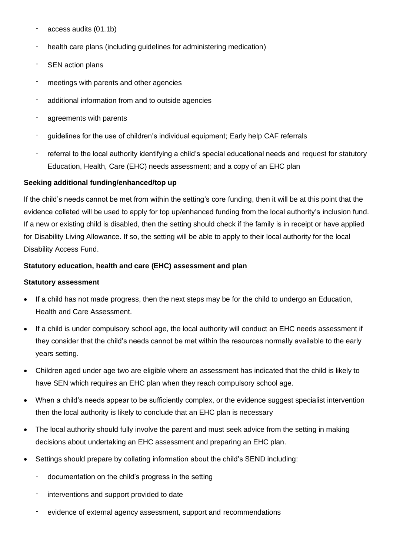- access audits (01.1b)
- health care plans (including guidelines for administering medication)
- SEN action plans
- meetings with parents and other agencies
- additional information from and to outside agencies
- agreements with parents
- guidelines for the use of children's individual equipment; Early help CAF referrals
- referral to the local authority identifying a child's special educational needs and request for statutory Education, Health, Care (EHC) needs assessment; and a copy of an EHC plan

#### **Seeking additional funding/enhanced/top up**

If the child's needs cannot be met from within the setting's core funding, then it will be at this point that the evidence collated will be used to apply for top up/enhanced funding from the local authority's inclusion fund. If a new or existing child is disabled, then the setting should check if the family is in receipt or have applied for Disability Living Allowance. If so, the setting will be able to apply to their local authority for the local Disability Access Fund.

#### **Statutory education, health and care (EHC) assessment and plan**

#### **Statutory assessment**

- If a child has not made progress, then the next steps may be for the child to undergo an Education, Health and Care Assessment.
- If a child is under compulsory school age, the local authority will conduct an EHC needs assessment if they consider that the child's needs cannot be met within the resources normally available to the early years setting.
- Children aged under age two are eligible where an assessment has indicated that the child is likely to have SEN which requires an EHC plan when they reach compulsory school age.
- When a child's needs appear to be sufficiently complex, or the evidence suggest specialist intervention then the local authority is likely to conclude that an EHC plan is necessary
- The local authority should fully involve the parent and must seek advice from the setting in making decisions about undertaking an EHC assessment and preparing an EHC plan.
- Settings should prepare by collating information about the child's SEND including:
	- documentation on the child's progress in the setting
	- interventions and support provided to date
	- evidence of external agency assessment, support and recommendations